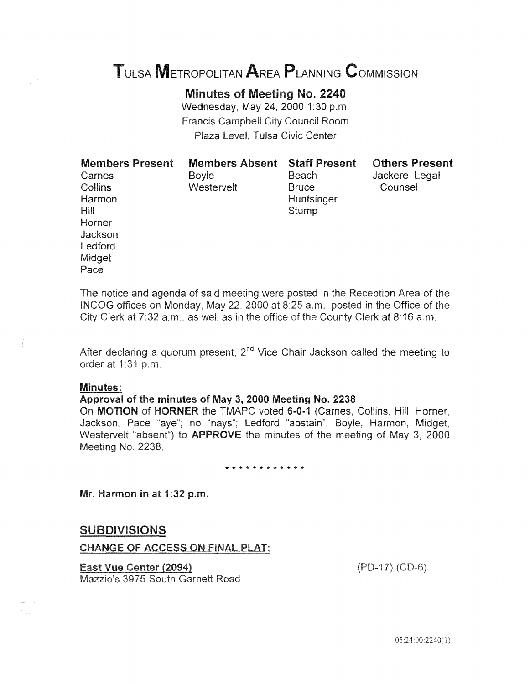# TULSA METROPOLITAN AREA PLANNING CoMMISSION

Minutes of Meeting No. 2240 Wednesday, May 24, 2000 1:30 p.m.

**Francis Campbell City Council Room** Plaza Level, Tulsa Civic Center

Hill Stump Horner **Jackson** Ledford **Midget** Pace

Harmon Huntsinger

Collins Westervelt Bruce Counsel

Members Present Members Absent Staff Present Others Present

Carnes **Boyle** Beach Jackere, Legal

and agenda of said meeting were posted in Area of the on Monday, May 22, 2000 at 8:25 a.m., posted in the Office a.m., as well as in the office of the County Clerk at 8:16 a.m.

After declaring a quorum present,  $2^{nd}$  Vice Chair Jackson called the meeting to order at 1:31 p.m.

#### Minutes:

## Approval of the minutes of May 3, 2000 Meeting No. 2238

On **MOTION** of HORNER the TMAPC voted 6-0-1 (Carnes, Collins, Hill, Horner, Jackson, Pace "aye"; no "nays"; Ledford "abstain"; Boyle, Midget, Westervelt "absent") to **APPROVE** the minutes of the meeting of May 3, 2000 Meeting No. 2238.

\* \* \* \* \* \* \* \* \* \* \* \*

Mr. Harmon in at 1:32 p.m.

# **SUBDIVISIONS**

## **CHANGE OF ACCESS ON FINAL PLAT:**

**East Vue Center (2094)** 

 $(PD-17) (CD-6)$ 

Mazzio's 3975 South Garnett Road

05:24 00:2240( I)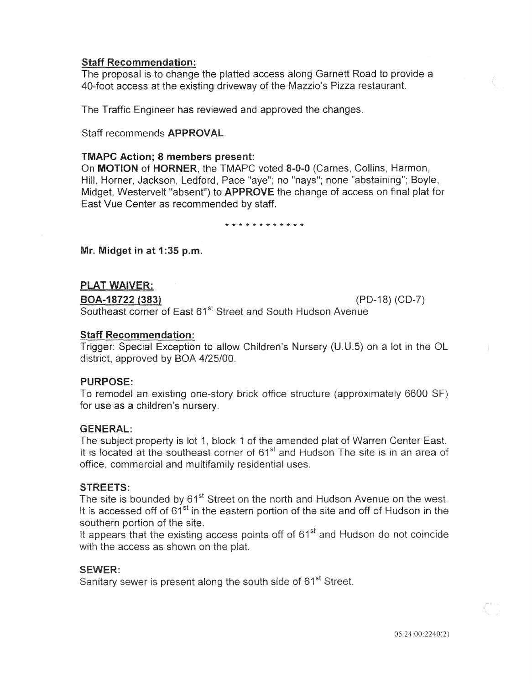## Staff Recommendation:

The proposal is to change the platted access along Garnett Road to provide a 40-foot access at the existing driveway of the Mazzio's Pizza restaurant.

The Traffic Engineer has reviewed and approved the changes.

Staff recommends APPROVAL.

## TMAPC Action; 8 members present:

On MOTION of HORNER, the TMAPC voted 8-0-0 (Carnes, Collins, Harmon, Hill, Horner, Jackson, Ledford, Pace "aye"; no "nays"; none "abstaining"; Boyle, Midget, Westervelt "absent") to **APPROVE** the change of access on final plat for East Vue Center as recommended by staff.

\* \* \* \* \* \* \* \* \* \* w \*

Mr. Midget in at 1:35 p.m.

## **PLAT WAIVER:**

BOA-18722 (383) (PD-18) (CD-7)

Southeast corner of East 61<sup>st</sup> Street and South Hudson Avenue

## Staff Recommendation:

Trigger: Special Exception to allow Children's Nursery (U.U.5) on a lot in the OL district, approved by BOA 4/25/00.

#### PURPOSE:

To remodel an existing one-story brick office structure (approximately 6600 SF) for use as a children's nursery.

#### GENERAL:

The subject property is lot 1, block 1 of the amended plat of Warren Center East. It is located at the southeast corner of 61<sup>st</sup> and Hudson The site is in an area of office, commercial and multifamily residential uses.

#### **STREETS:**

The site is bounded by 61<sup>st</sup> Street on the north and Hudson Avenue on the west. It is accessed off of 61<sup>st</sup> in the eastern portion of the site and off of Hudson in the southern portion of the site.

It appears that the existing access points off of 61<sup>st</sup> and Hudson do not coincide with the access as shown on the plat.

## **SEWER:**

Sanitary sewer is present along the south side of 61<sup>st</sup> Street.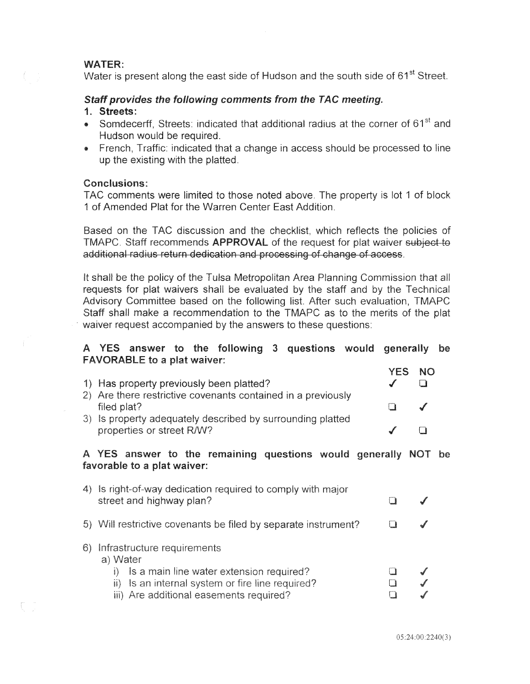## **WATER:**

Water is present along the east side of Hudson and the south side of 61<sup>st</sup> Street.

## Staff provides the following comments from the TAC meeting.

## 1. Streets:

- Somdecerff, Streets: indicated that additional radius at the corner of 61<sup>st</sup> and Hudson would be required.
- French, Traffic: indicated that a change in access should be processed to line up the existing with the platted.

#### Conclusions:

TAC comments were limited to those noted above. The property is lot 1 of block 1 of Amended Plat for the Warren Center East Addition.

Based on the TAC discussion and the checklist, which reflects the policies of TMAPC. Staff recommends APPROVAL of the request for plat waiver subject to additional radius return dedication and processing of change of access.

It shall be the policy of the Tulsa Metropolitan Area Planning Commission that all requests for plat waivers shall be evaluated by the staff and by the Technical Advisory Committee based on the following list. After such evaluation, TMAPC Staff shall make a recommendation to the TMAPC as to the merits of the plat waiver request accompanied by the answers to these questions:

## A YES answer to the following 3 questions would generally FAVORABLE to a plat waiver:

| 1) Has property previously been platted?<br>2) Are there restrictive covenants contained in a previously | <b>YES NO</b> |  |
|----------------------------------------------------------------------------------------------------------|---------------|--|
| filed plat?                                                                                              |               |  |
| 3) Is property adequately described by surrounding platted<br>properties or street R/W?                  |               |  |
| A YES answer to the remaining questions would generally NOT be<br>favorable to a plat waiver:            |               |  |
| 4) Is right-of-way dedication required to comply with major<br>street and highway plan?                  |               |  |
| 5) Will restrictive covenants be filed by separate instrument?                                           |               |  |

6) Infrastructure requirements

## a) Water

| i) Is a main line water extension required?      | $\mathcal{L}$ |
|--------------------------------------------------|---------------|
| ii) Is an internal system or fire line required? | $\mathcal{L}$ |
| iii) Are additional easements required?          | $\mathscr{I}$ |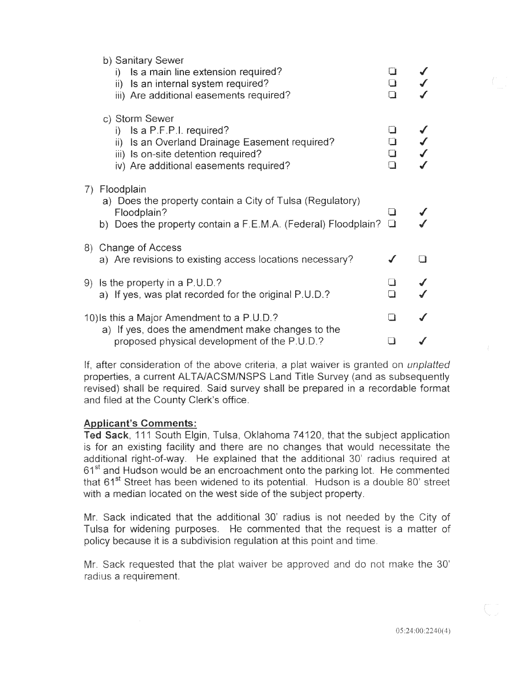|                                            | b) Sanitary Sewer<br>Is a main line extension required?<br>D.<br>ii) Is an internal system required?<br>iii) Are additional easements required?                                   | ∦<br>$\Box$<br>□                |  |
|--------------------------------------------|-----------------------------------------------------------------------------------------------------------------------------------------------------------------------------------|---------------------------------|--|
|                                            | c) Storm Sewer<br>i) Is a $P.F.P.I.$ required?<br>ii) Is an Overland Drainage Easement required?<br>iii) Is on-site detention required?<br>iv) Are additional easements required? | $\Box$<br>$\Box$<br>$\Box$<br>Π |  |
| 7)                                         | Floodplain<br>a) Does the property contain a City of Tulsa (Regulatory)<br>Floodplain?<br>b) Does the property contain a F.E.M.A. (Federal) Floodplain?                           | ⊔<br>$\Box$                     |  |
|                                            | 8) Change of Access<br>a) Are revisions to existing access locations necessary?                                                                                                   |                                 |  |
| 9).                                        | Is the property in a P.U.D.?<br>a) If yes, was plat recorded for the original P.U.D.?                                                                                             | $\Box$                          |  |
| 10) Is this a Major Amendment to a P.U.D.? |                                                                                                                                                                                   |                                 |  |
|                                            | a) If yes, does the amendment make changes to the<br>proposed physical development of the P.U.D.?                                                                                 |                                 |  |

If, after consideration of the above criteria, a plat waiver is granted on *unplatted* properties, a current ALTA/ACSM/NSPS Land Title Survey (and as subsequently revised) shall be required. Said survey shall be prepared in a recordable format and filed at the County Clerk's office.

## **Applicant's Comments:**

Ted Sack, 111 South Elgin, Tulsa, Oklahoma 74120, that the subject application is for an existing facility and there are no changes that would necessitate the additional right-of-way. He explained that the additional 30' radius required at 61<sup>st</sup> and Hudson would be an encroachment onto the parking lot. He commented that 61<sup>st</sup> Street has been widened to its potential. Hudson is a double 80' street with a median located on the west side of the subject property.

Mr. Sack indicated that the additional 30' radius is not needed by the City of Tulsa for widening purposes. He commented that the request is a matter of policy because it is a subdivision regulation at this point and time.

Mr. Sack requested that the plat waiver be approved and do not make the 30' radius a requirement.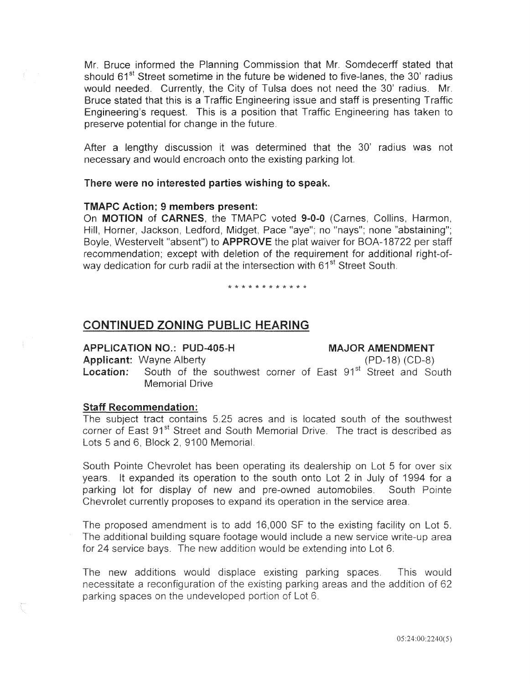Mr. Bruce informed the Planning Commission that Mr. Somdecerff stated that should  $61<sup>st</sup>$  Street sometime in the future be widened to five-lanes, the 30' radius would needed. Currently, the City of Tulsa does not need the 30' radius. Mr. Bruce stated that this is a Traffic Engineering issue and staff is presenting Traffic Engineering's request. This is a position that Traffic Engineering has taken to preserve potential for change in the future.

After a lengthy discussion it was determined that the 30' radius was necessary and would encroach onto the existing parking lot

#### There were no interested parties wishing to speak.

#### TMAPC Action; 9 members present:

On MOTION of CARNES, the TMAPC voted 9-0-0 (Carnes, Collins, Harmon, Hill, Horner, Jackson, Ledford, Midget, Pace "aye"; no "nays"; none "abstaining"; Boyle, Westervelt "absent") to APPROVE the plat waiver for BOA-18722 per staff recommendation; except with deletion of the requirement for additional right-ofway dedication for curb radii at the intersection with 61<sup>st</sup> Street South.

#### \* \* \* \* \* \* \* \* \* \* \* \*

# CONTINUED ZONING PUBLIC HEARING

**APPLICATION NO.: PUD-405-H** 

MAJOR AMENDMENT

**Applicant: Wayne Alberty** 

 $(PD-18) (CD-8)$ 

South of the southwest corner of East 91<sup>st</sup> Street and South Location: **Memorial Drive** 

#### **Staff Recommendation:**

The subject tract contains 5.25 acres and is located south of the southwest corner of East 91<sup>st</sup> Street and South Memorial Drive. The tract is described as Lots 5 and 6, Block 2, 9100 Memorial.

South Pointe Chevrolet has been operating its dealership on Lot 5 for over six years. It expanded its operation to the south onto Lot 2 in July of 1994 for a parking lot for display of new and pre-owned automobiles. South Pointe Chevrolet currently proposes to expand its operation in the service area.

The proposed amendment is to add 16,000 SF to the existing facility on Lot 5. The additional building square footage would include a new service write-up area for 24 service bays. The new addition would be extending into Lot 6.

The new additions would displace existing parking spaces. This would necessitate a reconfiguration of the existing parking areas and the addition of 62 parking spaces on the undeveloped portion of Lot 6.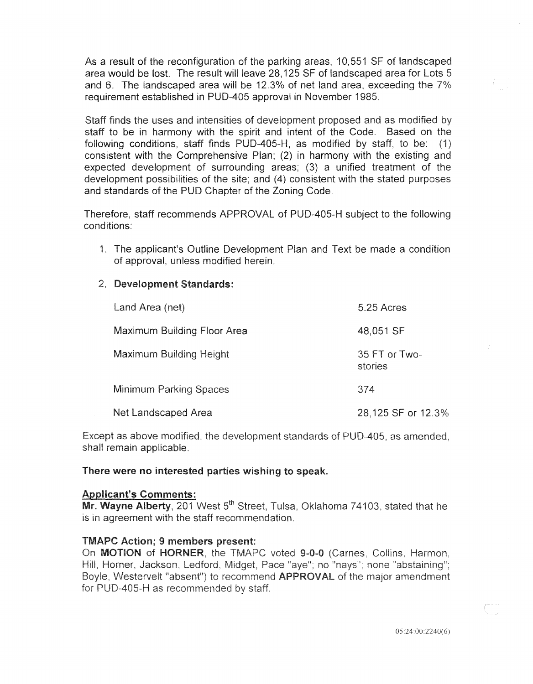As a result of the reconfiguration of the parking areas, 10,551 SF of landscaped area would be lost. The result will leave 28,125 SF of landscaped area for and 6. The landscaped area will be 12.3% of net land area, exceeding the  $7\%$ requirement established in PUD-405 approval in November 1985.

Staff finds the uses and intensities of development proposed and as modified by staff to be in harmony with the spirit and intent of the Code. Based on the following conditions, staff finds PUD-405-H, as modified by staff, to be: (1) consistent with the Comprehensive Plan; (2) in harmony with the existing and expected development of surrounding areas; (3) a unified treatment of the development possibilities of the site; and (4) consistent with the stated purposes and standards of the PUD Chapter of the Zoning Code.

Therefore, staff recommends APPROVAL of PUD-405-H subject to the following conditions:

1. The applicant's Outline Development Plan and Text be made a condition of approval, unless modified herein.

## 2. Development Standards:

| Land Area (net)               | 5.25 Acres               |
|-------------------------------|--------------------------|
| Maximum Building Floor Area   | 48,051 SF                |
| Maximum Building Height       | 35 FT or Two-<br>stories |
| <b>Minimum Parking Spaces</b> | 374                      |
| Net Landscaped Area           | 28,125 SF or 12.3%       |

Except as above modified, the development standards of PUD-405, as amended, shall remain applicable.

#### There were no interested parties wishing to speak.

#### **Applicant's Comments:**

Mr. Wayne Alberty, 201 West 5<sup>th</sup> Street, Tulsa, Oklahoma 74103, stated that he is in agreement with the staff recommendation.

#### **TMAPC Action: 9 members present:**

On MOTION of HORNER, the TMAPC voted 9-0-0 (Carnes, Collins, Harmon, Hill, Horner, Jackson, Ledford, Midget, Pace "aye"; no "nays"; none "abstaining"; Boyle, Westervelt "absent") to recommend APPROVAL of the major amendment for PUD-405-H as recommended by staff.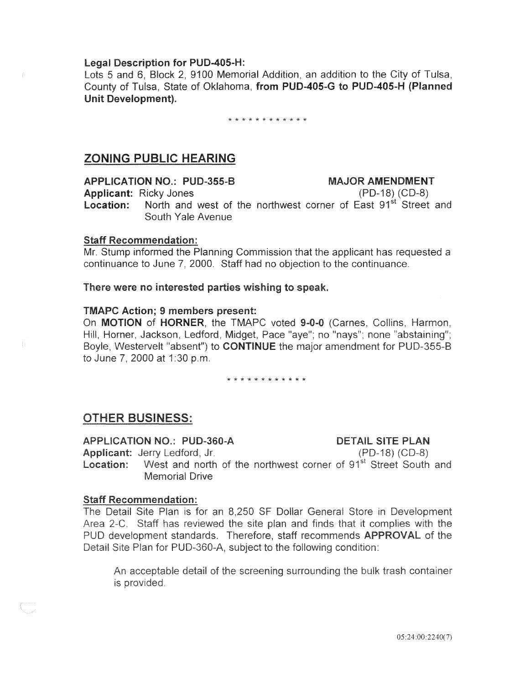#### Legal Description for PUD-405-H:

Lots 5 and 6, Block 2, 9100 Memorial Addition, an addition to the City of Tulsa, County of Tulsa, State of Oklahoma, from PUD-405-G to PUD-405-H (Planned Unit Development).

\* \* \* \* \* \* \* \* \* \* \*

# ZONING PUBLIC HEARING

APPLICATION NO.: PUD-355-B MAJOR AMENDMENT

Applicant: Ricky Jones

(PD-18) (CD-8) **Location:** North and west of the northwest corner of East 91<sup>st</sup> Street and South Yale Avenue

## **Staff Recommendation:**

Mr. Stump informed the Planning Commission that the applicant has requested a continuance to June 7, 2000. Staff had no objection to the continuance.

There were no interested parties wishing to speak.

## TMAPC Action; 9 members present:

On MOTION of HORNER, the TMAPC voted 9-0-0 (Carnes, Collins, Harmon, Hill, Horner, Jackson, Ledford, Midget, Pace "aye"; no "nays"; none "abstaining"; Boyle, Westervelt "absent") to **CONTINUE** the major amendment for PUD-355-B to June 7. 2000 at 1:30 p.m.

#### \* \* \* \* \* \* \* \* \* \* \* \*

# **OTHER BUSINESS:**

APPLICATION NO.: PUD-360-A **DETAIL SITE PLAN** Applicant: Jerry Ledford, Jr.  $(PD-18) (CD-8)$ West and north of the northwest corner of 91<sup>st</sup> Street South and Location: **Memorial Drive** 

#### **Staff Recommendation:**

The Detail Site Plan is for an 8,250 SF Dollar General Store in Development Area 2-C. Staff has reviewed the site plan and finds that it complies with the PUD development standards. Therefore, staff recommends APPROVAL of the Detail Site Plan for PUD-360-A, subject to the following condition:

An acceptable detail of the screening surrounding the bulk trash container is provided.